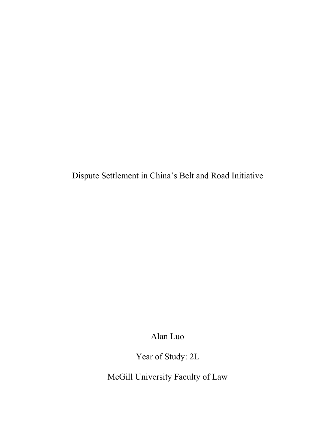Dispute Settlement in China's Belt and Road Initiative

Alan Luo

Year of Study: 2L

McGill University Faculty of Law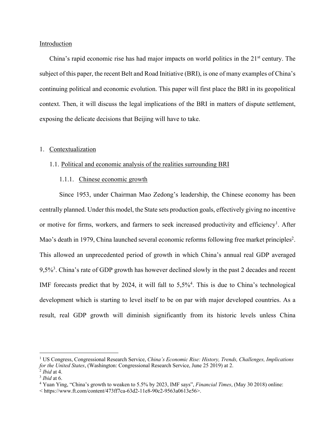# Introduction

China's rapid economic rise has had major impacts on world politics in the  $21<sup>st</sup>$  century. The subject of this paper, the recent Belt and Road Initiative (BRI), is one of many examples of China's continuing political and economic evolution. This paper will first place the BRI in its geopolitical context. Then, it will discuss the legal implications of the BRI in matters of dispute settlement, exposing the delicate decisions that Beijing will have to take.

# 1. Contextualization

#### 1.1. Political and economic analysis of the realities surrounding BRI

#### 1.1.1. Chinese economic growth

Since 1953, under Chairman Mao Zedong's leadership, the Chinese economy has been centrally planned. Under this model, the State sets production goals, effectively giving no incentive or motive for firms, workers, and farmers to seek increased productivity and efficiency<sup>1</sup>. After Mao's death in 1979, China launched several economic reforms following free market principles<sup>2</sup>. This allowed an unprecedented period of growth in which China's annual real GDP averaged 9,5%<sup>3</sup>. China's rate of GDP growth has however declined slowly in the past 2 decades and recent IMF forecasts predict that by 2024, it will fall to 5,5%4. This is due to China's technological development which is starting to level itself to be on par with major developed countries. As a result, real GDP growth will diminish significantly from its historic levels unless China

<sup>1</sup> US Congress, Congressional Research Service, *China's Economic Rise: History, Trends, Challenges, Implications for the United States*, (Washington: Congressional Research Service, June 25 2019) at 2.

<sup>2</sup> *Ibid* at 4.

<sup>3</sup> *Ibid* at 6.

<sup>4</sup> Yuan Ying, "China's growth to weaken to 5.5% by 2023, IMF says", *Financial Times*, (May 30 2018) online:

<sup>&</sup>lt; https://www.ft.com/content/473ff7ca-63d2-11e8-90c2-9563a0613e56>.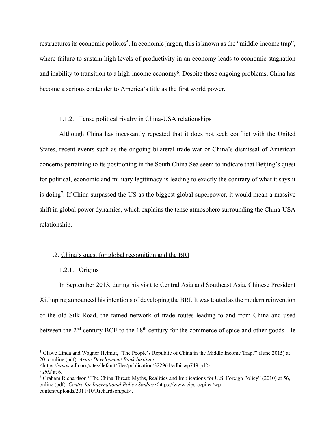restructures its economic policies<sup>5</sup>. In economic jargon, this is known as the "middle-income trap", where failure to sustain high levels of productivity in an economy leads to economic stagnation and inability to transition to a high-income economy<sup>6</sup>. Despite these ongoing problems, China has become a serious contender to America's title as the first world power.

# 1.1.2. Tense political rivalry in China-USA relationships

Although China has incessantly repeated that it does not seek conflict with the United States, recent events such as the ongoing bilateral trade war or China's dismissal of American concerns pertaining to its positioning in the South China Sea seem to indicate that Beijing's quest for political, economic and military legitimacy is leading to exactly the contrary of what it says it is doing7. If China surpassed the US as the biggest global superpower, it would mean a massive shift in global power dynamics, which explains the tense atmosphere surrounding the China-USA relationship.

#### 1.2. China's quest for global recognition and the BRI

1.2.1. Origins

In September 2013, during his visit to Central Asia and Southeast Asia, Chinese President Xi Jinping announced his intentions of developing the BRI. It was touted as the modern reinvention of the old Silk Road, the famed network of trade routes leading to and from China and used between the  $2<sup>nd</sup>$  century BCE to the  $18<sup>th</sup>$  century for the commerce of spice and other goods. He

<https://www.adb.org/sites/default/files/publication/322961/adbi-wp749.pdf>.

<sup>5</sup> Glawe Linda and Wagner Helmut, "The People's Republic of China in the Middle Income Trap?" (June 2015) at 20, oonline (pdf): *Asian Development Bank Institute* 

 $\frac{6}{7}$  *Ibid* at 6.<br><sup>7</sup> Graham Richardson "The China Threat: Myths, Realities and Implications for U.S. Foreign Policy" (2010) at 56, online (pdf): *Centre for International Policy Studies* <https://www.cips-cepi.ca/wpcontent/uploads/2011/10/Richardson.pdf>.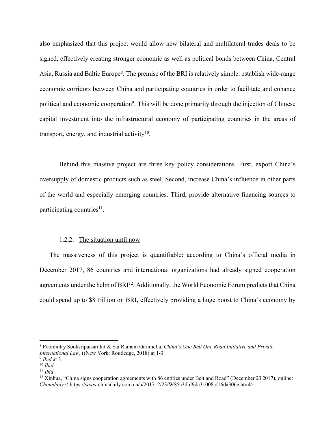also emphasized that this project would allow new bilateral and multilateral trades deals to be signed, effectively creating stronger economic as well as political bonds between China, Central Asia, Russia and Baltic Europe<sup>8</sup>. The premise of the BRI is relatively simple: establish wide-range economic corridors between China and participating countries in order to facilitate and enhance political and economic cooperation<sup>9</sup>. This will be done primarily through the injection of Chinese capital investment into the infrastructural economy of participating countries in the areas of transport, energy, and industrial activity $10$ .

Behind this massive project are three key policy considerations. First, export China's oversupply of domestic products such as steel. Second, increase China's influence in other parts of the world and especially emerging countries. Third, provide alternative financing sources to participating countries<sup>11</sup>.

#### 1.2.2. The situation until now

The massiveness of this project is quantifiable: according to China's official media in December 2017, 86 countries and international organizations had already signed cooperation agreements under the helm of BRI<sup>12</sup>. Additionally, the World Economic Forum predicts that China could spend up to \$8 trillion on BRI, effectively providing a huge boost to China's economy by

<sup>8</sup> Poomintry Sooksripaisarnkit & Sai Ramani Garimella, *China's One Belt One Road Initiative and Private*  International Law, (New York: Routledge, 2018) at 1-3.<br>
<sup>9</sup> Ibid at 3.<br>
<sup>10</sup> Ibid.<br>
<sup>11</sup> Ibid.<br>
<sup>12</sup> Xinhua, "China signs cooperation agreements with 86 entities under Belt and Road" (December 23 2017), online:

*Chinadaily* < https://www.chinadaily.com.cn/a/201712/23/WS5a3dbf9da31008cf16da306e.html>.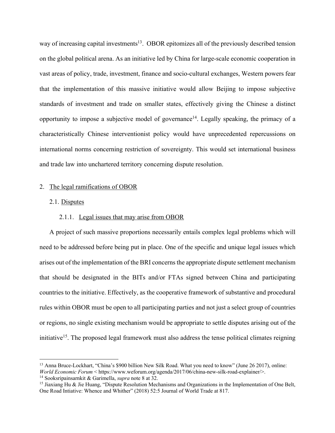way of increasing capital investments<sup>13</sup>. OBOR epitomizes all of the previously described tension on the global political arena. As an initiative led by China for large-scale economic cooperation in vast areas of policy, trade, investment, finance and socio-cultural exchanges, Western powers fear that the implementation of this massive initiative would allow Beijing to impose subjective standards of investment and trade on smaller states, effectively giving the Chinese a distinct opportunity to impose a subjective model of governance<sup>14</sup>. Legally speaking, the primacy of a characteristically Chinese interventionist policy would have unprecedented repercussions on international norms concerning restriction of sovereignty. This would set international business and trade law into unchartered territory concerning dispute resolution.

# 2. The legal ramifications of OBOR

# 2.1. Disputes

# 2.1.1. Legal issues that may arise from OBOR

A project of such massive proportions necessarily entails complex legal problems which will need to be addressed before being put in place. One of the specific and unique legal issues which arises out of the implementation of the BRI concerns the appropriate dispute settlement mechanism that should be designated in the BITs and/or FTAs signed between China and participating countries to the initiative. Effectively, as the cooperative framework of substantive and procedural rules within OBOR must be open to all participating parties and not just a select group of countries or regions, no single existing mechanism would be appropriate to settle disputes arising out of the initiative<sup>15</sup>. The proposed legal framework must also address the tense political climates reigning

<sup>&</sup>lt;sup>13</sup> Anna Bruce-Lockhart, "China's \$900 billion New Silk Road. What you need to know" (June 26 2017), online: *World Economic Forum* < https://www.weforum.org/agenda/2017/06/china-new-silk-road-explainer/>.<sup>14</sup> Sooksripainsarnkit & Garimella. *supra* note 8 at 32.

<sup>&</sup>lt;sup>15</sup> Jiaxiang Hu & Jie Huang, "Dispute Resolution Mechanisms and Organizations in the Implementation of One Belt, One Road Intiative: Whence and Whither" (2018) 52:5 Journal of World Trade at 817.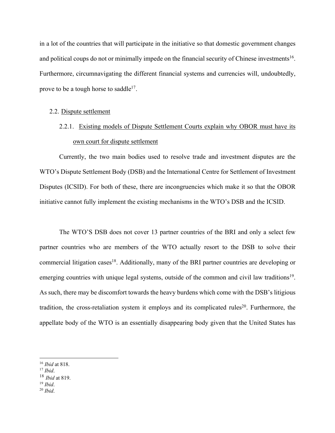in a lot of the countries that will participate in the initiative so that domestic government changes and political coups do not or minimally impede on the financial security of Chinese investments<sup>16</sup>. Furthermore, circumnavigating the different financial systems and currencies will, undoubtedly, prove to be a tough horse to saddle<sup>17</sup>.

#### 2.2. Dispute settlement

# 2.2.1. Existing models of Dispute Settlement Courts explain why OBOR must have its own court for dispute settlement

Currently, the two main bodies used to resolve trade and investment disputes are the WTO's Dispute Settlement Body (DSB) and the International Centre for Settlement of Investment Disputes (ICSID). For both of these, there are incongruencies which make it so that the OBOR initiative cannot fully implement the existing mechanisms in the WTO's DSB and the ICSID.

The WTO'S DSB does not cover 13 partner countries of the BRI and only a select few partner countries who are members of the WTO actually resort to the DSB to solve their commercial litigation cases<sup>18</sup>. Additionally, many of the BRI partner countries are developing or emerging countries with unique legal systems, outside of the common and civil law traditions<sup>19</sup>. As such, there may be discomfort towards the heavy burdens which come with the DSB's litigious tradition, the cross-retaliation system it employs and its complicated rules<sup>20</sup>. Furthermore, the appellate body of the WTO is an essentially disappearing body given that the United States has

<sup>16</sup> *Ibid* at 818. 17 *Ibid*. 18 *Ibid* at 819. 19 *Ibid*. 20 *Ibid*.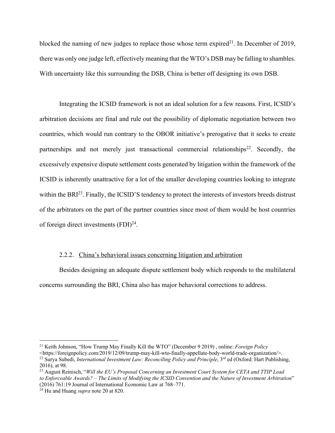blocked the naming of new judges to replace those whose term expired<sup>21</sup>. In December of 2019, there was only one judge left, effectively meaning that the WTO's DSB may be falling to shambles. With uncertainty like this surrounding the DSB, China is better off designing its own DSB.

Integrating the ICSID framework is not an ideal solution for a few reasons. First, ICSID's arbitration decisions are final and rule out the possibility of diplomatic negotiation between two countries, which would run contrary to the OBOR initiative's prerogative that it seeks to create partnerships and not merely just transactional commercial relationships<sup>22</sup>. Secondly, the excessively expensive dispute settlement costs generated by litigation within the framework of the ICSID is inherently unattractive for a lot of the smaller developing countries looking to integrate within the BRI<sup>23</sup>. Finally, the ICSID'S tendency to protect the interests of investors breeds distrust of the arbitrators on the part of the partner countries since most of them would be host countries of foreign direct investments  $(FDI)^{24}$ .

# 2.2.2. China's behavioral issues concerning litigation and arbitration

Besides designing an adequate dispute settlement body which responds to the multilateral concerns surrounding the BRI, China also has major behavioral corrections to address.

<sup>21</sup> Keith Johnson, "How Trump May Finally Kill the WTO" (December 9 2019) , online: *Foreign Policy* 

<sup>&</sup>lt;https://foreignpolicy.com/2019/12/09/trump-may-kill-wto-finally-appellate-body-world-trade-organization/>. <sup>22</sup> Surya Subedi, *International Investment Law: Reconciling Policy and Principle*, 3<sup>rd</sup> ed (Oxford: Hart Publishing, 2016), at 98.

<sup>23</sup> August Reinisch, "*Will the EU's Proposal Concerning an Investment Court System for CETA and TTIP Lead to Enforceable Awards? – The Limits of Modifying the ICSID Convention and the Nature of Investment Arbitration*" (2016) 761:19 Journal of International Economic Law at 768–771. 24 Hu and Huang *supra* note 20 at 820.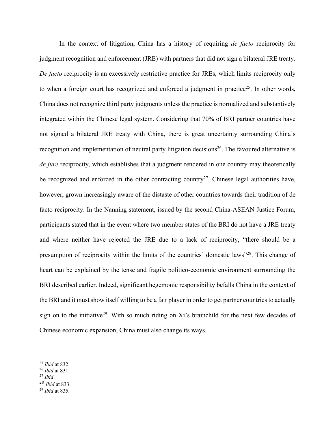In the context of litigation, China has a history of requiring *de facto* reciprocity for judgment recognition and enforcement (JRE) with partners that did not sign a bilateral JRE treaty. *De facto* reciprocity is an excessively restrictive practice for JREs, which limits reciprocity only to when a foreign court has recognized and enforced a judgment in practice<sup>25</sup>. In other words, China does not recognize third party judgments unless the practice is normalized and substantively integrated within the Chinese legal system. Considering that 70% of BRI partner countries have not signed a bilateral JRE treaty with China, there is great uncertainty surrounding China's recognition and implementation of neutral party litigation decisions<sup>26</sup>. The favoured alternative is *de jure* reciprocity, which establishes that a judgment rendered in one country may theoretically be recognized and enforced in the other contracting country<sup>27</sup>. Chinese legal authorities have, however, grown increasingly aware of the distaste of other countries towards their tradition of de facto reciprocity. In the Nanning statement, issued by the second China-ASEAN Justice Forum, participants stated that in the event where two member states of the BRI do not have a JRE treaty and where neither have rejected the JRE due to a lack of reciprocity, "there should be a presumption of reciprocity within the limits of the countries' domestic laws"28. This change of heart can be explained by the tense and fragile politico-economic environment surrounding the BRI described earlier. Indeed, significant hegemonic responsibility befalls China in the context of the BRI and it must show itself willing to be a fair player in order to get partner countries to actually sign on to the initiative<sup>29</sup>. With so much riding on Xi's brainchild for the next few decades of Chinese economic expansion, China must also change its ways.

<sup>25</sup> *Ibid* at 832. 26 *Ibid* at 831. 27 *Ibid*.

<sup>28</sup> *Ibid* at 833. 29 *Ibid* at 835.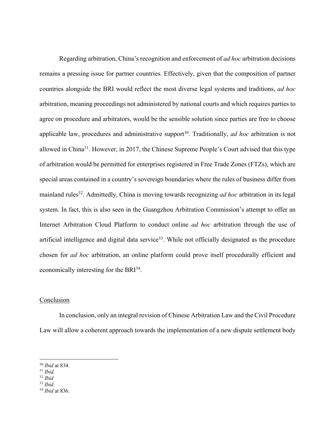Regarding arbitration, China's recognition and enforcement of *ad hoc* arbitration decisions remains a pressing issue for partner countries. Effectively, given that the composition of partner countries alongside the BRI would reflect the most diverse legal systems and traditions, *ad hoc* arbitration, meaning proceedings not administered by national courts and which requires parties to agree on procedure and arbitrators, would be the sensible solution since parties are free to choose applicable law, procedures and administrative support<sup>30</sup>. Traditionally, *ad hoc* arbitration is not allowed in China31. However, in 2017, the Chinese Supreme People's Court advised that this type of arbitration would be permitted for enterprises registered in Free Trade Zones (FTZs), which are special areas contained in a country's sovereign boundaries where the rules of business differ from mainland rules<sup>32</sup>. Admittedly, China is moving towards recognizing *ad hoc* arbitration in its legal system. In fact, this is also seen in the Guangzhou Arbitration Commission's attempt to offer an Internet Arbitration Cloud Platform to conduct online *ad hoc* arbitration through the use of artificial intelligence and digital data service<sup>33</sup>. While not officially designated as the procedure chosen for *ad hoc* arbitration, an online platform could prove itself procedurally efficient and economically interesting for the BRI34.

#### **Conclusion**

In conclusion, only an integral revision of Chinese Arbitration Law and the Civil Procedure Law will allow a coherent approach towards the implementation of a new dispute settlement body

<sup>30</sup> *Ibid* at 834. 31 *Ibid.* 

<sup>32</sup> *Ibid* 

<sup>33</sup> *Ibid*. 34 *Ibid* at 836.